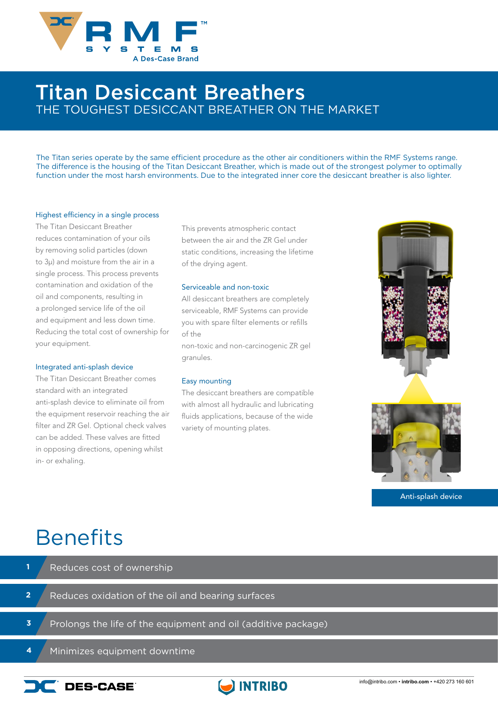

### Titan Desiccant Breathers THE TOUGHEST DESICCANT BREATHER ON THE MARKET

The Titan series operate by the same efficient procedure as the other air conditioners within the RMF Systems range. The difference is the housing of the Titan Desiccant Breather, which is made out of the strongest polymer to optimally function under the most harsh environments. Due to the integrated inner core the desiccant breather is also lighter.

#### Highest efficiency in a single process

The Titan Desiccant Breather reduces contamination of your oils by removing solid particles (down to 3µ) and moisture from the air in a single process. This process prevents contamination and oxidation of the oil and components, resulting in a prolonged service life of the oil and equipment and less down time. Reducing the total cost of ownership for your equipment.

#### Integrated anti-splash device

The Titan Desiccant Breather comes standard with an integrated anti-splash device to eliminate oil from the equipment reservoir reaching the air filter and ZR Gel. Optional check valves can be added. These valves are fitted in opposing directions, opening whilst in- or exhaling.

This prevents atmospheric contact between the air and the ZR Gel under static conditions, increasing the lifetime of the drying agent.

#### Serviceable and non-toxic

All desiccant breathers are completely serviceable, RMF Systems can provide you with spare filter elements or refills of the

non-toxic and non-carcinogenic ZR gel granules.

#### Easy mounting

The desiccant breathers are compatible with almost all hydraulic and lubricating fluids applications, because of the wide variety of mounting plates.



Anti-splash device

## **Benefits**

- Reduces oxidation of the oil and bearing surfaces Reduces cost of ownership Prolongs the life of the equipment and oil (additive package) **2 1 3**
	- Minimizes equipment downtime **4**